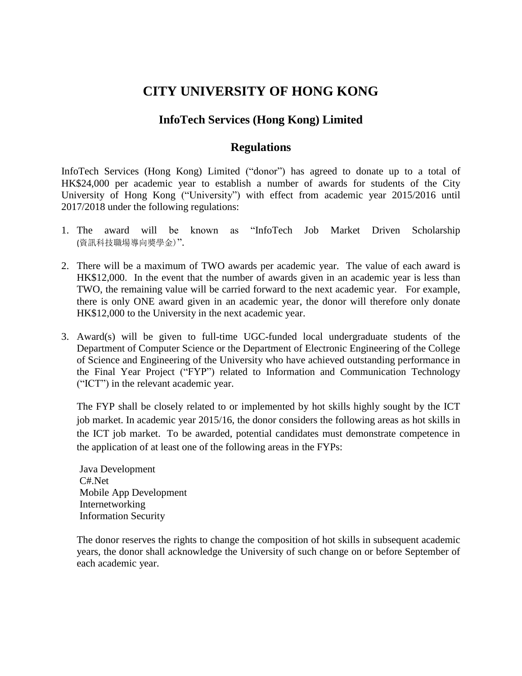## **CITY UNIVERSITY OF HONG KONG**

## **InfoTech Services (Hong Kong) Limited**

## **Regulations**

InfoTech Services (Hong Kong) Limited ("donor") has agreed to donate up to a total of HK\$24,000 per academic year to establish a number of awards for students of the City University of Hong Kong ("University") with effect from academic year 2015/2016 until 2017/2018 under the following regulations:

- 1. The award will be known as "InfoTech Job Market Driven Scholarship (資訊科技職場導向獎學金)".
- 2. There will be a maximum of TWO awards per academic year. The value of each award is HK\$12,000. In the event that the number of awards given in an academic year is less than TWO, the remaining value will be carried forward to the next academic year. For example, there is only ONE award given in an academic year, the donor will therefore only donate HK\$12,000 to the University in the next academic year.
- 3. Award(s) will be given to full-time UGC-funded local undergraduate students of the Department of Computer Science or the Department of Electronic Engineering of the College of Science and Engineering of the University who have achieved outstanding performance in the Final Year Project ("FYP") related to Information and Communication Technology ("ICT") in the relevant academic year.

The FYP shall be closely related to or implemented by hot skills highly sought by the ICT job market. In academic year 2015/16, the donor considers the following areas as hot skills in the ICT job market. To be awarded, potential candidates must demonstrate competence in the application of at least one of the following areas in the FYPs:

Java Development C#.Net Mobile App Development Internetworking Information Security

The donor reserves the rights to change the composition of hot skills in subsequent academic years, the donor shall acknowledge the University of such change on or before September of each academic year.